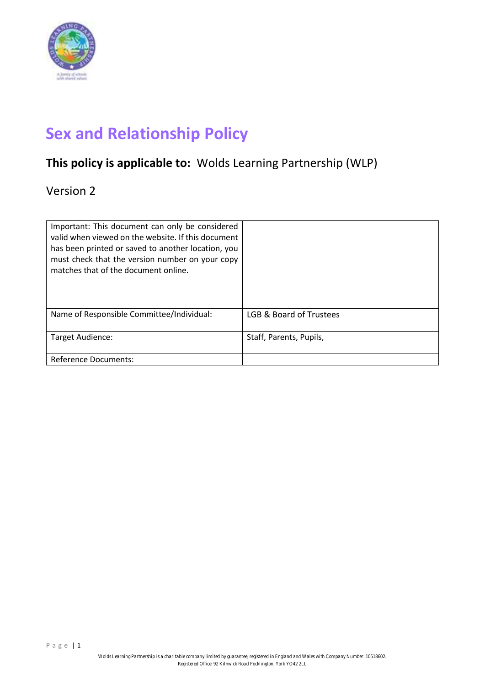

# **Sex and Relationship Policy**

# **This policy is applicable to:** Wolds Learning Partnership (WLP)

Version 2

| Important: This document can only be considered<br>valid when viewed on the website. If this document<br>has been printed or saved to another location, you<br>must check that the version number on your copy<br>matches that of the document online. |                         |
|--------------------------------------------------------------------------------------------------------------------------------------------------------------------------------------------------------------------------------------------------------|-------------------------|
| Name of Responsible Committee/Individual:                                                                                                                                                                                                              | LGB & Board of Trustees |
| Target Audience:                                                                                                                                                                                                                                       | Staff, Parents, Pupils, |
| <b>Reference Documents:</b>                                                                                                                                                                                                                            |                         |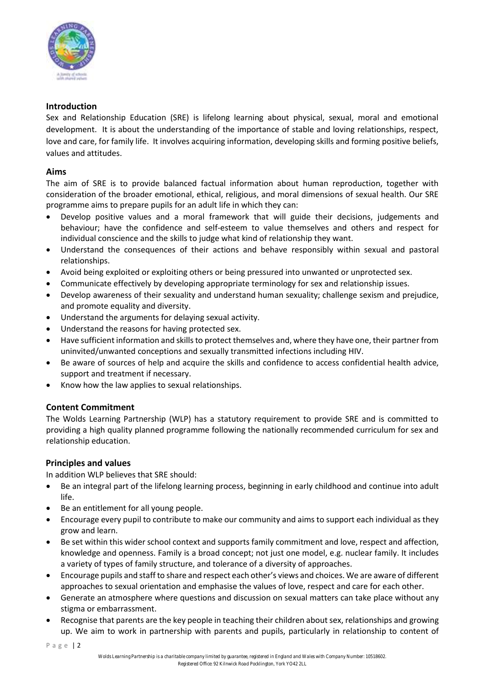

# **Introduction**

Sex and Relationship Education (SRE) is lifelong learning about physical, sexual, moral and emotional development. It is about the understanding of the importance of stable and loving relationships, respect, love and care, for family life. It involves acquiring information, developing skills and forming positive beliefs, values and attitudes.

# **Aims**

The aim of SRE is to provide balanced factual information about human reproduction, together with consideration of the broader emotional, ethical, religious, and moral dimensions of sexual health. Our SRE programme aims to prepare pupils for an adult life in which they can:

- Develop positive values and a moral framework that will guide their decisions, judgements and behaviour; have the confidence and self-esteem to value themselves and others and respect for individual conscience and the skills to judge what kind of relationship they want.
- Understand the consequences of their actions and behave responsibly within sexual and pastoral relationships.
- Avoid being exploited or exploiting others or being pressured into unwanted or unprotected sex.
- Communicate effectively by developing appropriate terminology for sex and relationship issues.
- Develop awareness of their sexuality and understand human sexuality; challenge sexism and prejudice, and promote equality and diversity.
- Understand the arguments for delaying sexual activity.
- Understand the reasons for having protected sex.
- Have sufficient information and skillsto protect themselves and, where they have one, their partner from uninvited/unwanted conceptions and sexually transmitted infections including HIV.
- Be aware of sources of help and acquire the skills and confidence to access confidential health advice, support and treatment if necessary.
- Know how the law applies to sexual relationships.

# **Content Commitment**

The Wolds Learning Partnership (WLP) has a statutory requirement to provide SRE and is committed to providing a high quality planned programme following the nationally recommended curriculum for sex and relationship education.

# **Principles and values**

In addition WLP believes that SRE should:

- Be an integral part of the lifelong learning process, beginning in early childhood and continue into adult life.
- Be an entitlement for all young people.
- Encourage every pupil to contribute to make our community and aims to support each individual as they grow and learn.
- Be set within this wider school context and supports family commitment and love, respect and affection, knowledge and openness. Family is a broad concept; not just one model, e.g. nuclear family. It includes a variety of types of family structure, and tolerance of a diversity of approaches.
- Encourage pupils and staff to share and respect each other's views and choices. We are aware of different approaches to sexual orientation and emphasise the values of love, respect and care for each other.
- Generate an atmosphere where questions and discussion on sexual matters can take place without any stigma or embarrassment.
- Recognise that parents are the key people in teaching their children about sex, relationships and growing up. We aim to work in partnership with parents and pupils, particularly in relationship to content of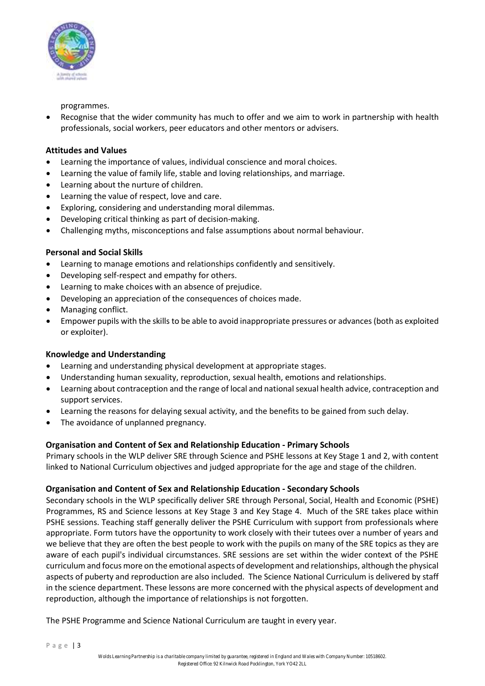

programmes.

Recognise that the wider community has much to offer and we aim to work in partnership with health professionals, social workers, peer educators and other mentors or advisers.

# **Attitudes and Values**

- Learning the importance of values, individual conscience and moral choices.
- Learning the value of family life, stable and loving relationships, and marriage.
- Learning about the nurture of children.
- Learning the value of respect, love and care.
- Exploring, considering and understanding moral dilemmas.
- Developing critical thinking as part of decision‐making.
- Challenging myths, misconceptions and false assumptions about normal behaviour.

# **Personal and Social Skills**

- Learning to manage emotions and relationships confidently and sensitively.
- Developing self‐respect and empathy for others.
- Learning to make choices with an absence of prejudice.
- Developing an appreciation of the consequences of choices made.
- Managing conflict.
- Empower pupils with the skills to be able to avoid inappropriate pressures or advances (both as exploited or exploiter).

#### **Knowledge and Understanding**

- Learning and understanding physical development at appropriate stages.
- Understanding human sexuality, reproduction, sexual health, emotions and relationships.
- Learning about contraception and the range of local and nationalsexual health advice, contraception and support services.
- Learning the reasons for delaying sexual activity, and the benefits to be gained from such delay.
- The avoidance of unplanned pregnancy.

#### **Organisation and Content of Sex and Relationship Education - Primary Schools**

Primary schools in the WLP deliver SRE through Science and PSHE lessons at Key Stage 1 and 2, with content linked to National Curriculum objectives and judged appropriate for the age and stage of the children.

#### **Organisation and Content of Sex and Relationship Education - Secondary Schools**

Secondary schools in the WLP specifically deliver SRE through Personal, Social, Health and Economic (PSHE) Programmes, RS and Science lessons at Key Stage 3 and Key Stage 4. Much of the SRE takes place within PSHE sessions. Teaching staff generally deliver the PSHE Curriculum with support from professionals where appropriate. Form tutors have the opportunity to work closely with their tutees over a number of years and we believe that they are often the best people to work with the pupils on many of the SRE topics as they are aware of each pupil's individual circumstances. SRE sessions are set within the wider context of the PSHE curriculum and focus more on the emotional aspects of development and relationships, although the physical aspects of puberty and reproduction are also included. The Science National Curriculum is delivered by staff in the science department. These lessons are more concerned with the physical aspects of development and reproduction, although the importance of relationships is not forgotten.

The PSHE Programme and Science National Curriculum are taught in every year.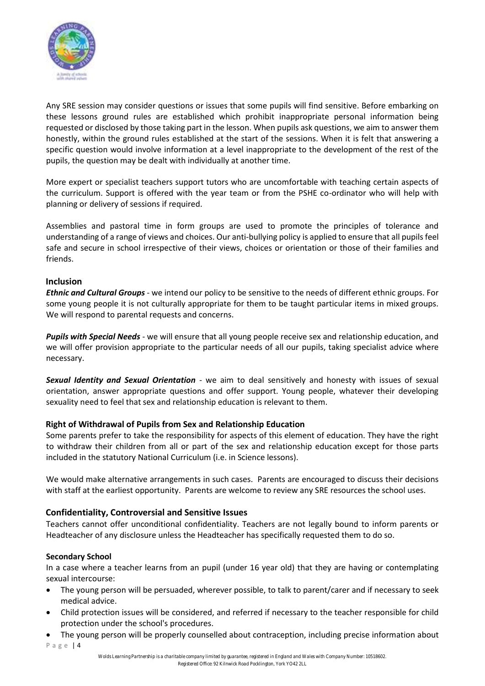

Any SRE session may consider questions or issues that some pupils will find sensitive. Before embarking on these lessons ground rules are established which prohibit inappropriate personal information being requested or disclosed by those taking part in the lesson. When pupils ask questions, we aim to answer them honestly, within the ground rules established at the start of the sessions. When it is felt that answering a specific question would involve information at a level inappropriate to the development of the rest of the pupils, the question may be dealt with individually at another time.

More expert or specialist teachers support tutors who are uncomfortable with teaching certain aspects of the curriculum. Support is offered with the year team or from the PSHE co-ordinator who will help with planning or delivery of sessions if required.

Assemblies and pastoral time in form groups are used to promote the principles of tolerance and understanding of a range of views and choices. Our anti‐bullying policy is applied to ensure that all pupils feel safe and secure in school irrespective of their views, choices or orientation or those of their families and friends.

#### **Inclusion**

*Ethnic and Cultural Groups* ‐ we intend our policy to be sensitive to the needs of different ethnic groups. For some young people it is not culturally appropriate for them to be taught particular items in mixed groups. We will respond to parental requests and concerns.

*Pupils with Special Needs* ‐ we will ensure that all young people receive sex and relationship education, and we will offer provision appropriate to the particular needs of all our pupils, taking specialist advice where necessary.

*Sexual Identity and Sexual Orientation* ‐ we aim to deal sensitively and honesty with issues of sexual orientation, answer appropriate questions and offer support. Young people, whatever their developing sexuality need to feel that sex and relationship education is relevant to them.

#### **Right of Withdrawal of Pupils from Sex and Relationship Education**

Some parents prefer to take the responsibility for aspects of this element of education. They have the right to withdraw their children from all or part of the sex and relationship education except for those parts included in the statutory National Curriculum (i.e. in Science lessons).

We would make alternative arrangements in such cases. Parents are encouraged to discuss their decisions with staff at the earliest opportunity. Parents are welcome to review any SRE resources the school uses.

#### **Confidentiality, Controversial and Sensitive Issues**

Teachers cannot offer unconditional confidentiality. Teachers are not legally bound to inform parents or Headteacher of any disclosure unless the Headteacher has specifically requested them to do so.

#### **Secondary School**

In a case where a teacher learns from an pupil (under 16 year old) that they are having or contemplating sexual intercourse:

- The young person will be persuaded, wherever possible, to talk to parent/carer and if necessary to seek medical advice.
- Child protection issues will be considered, and referred if necessary to the teacher responsible for child protection under the school's procedures.
- P a g e | 4 • The young person will be properly counselled about contraception, including precise information about